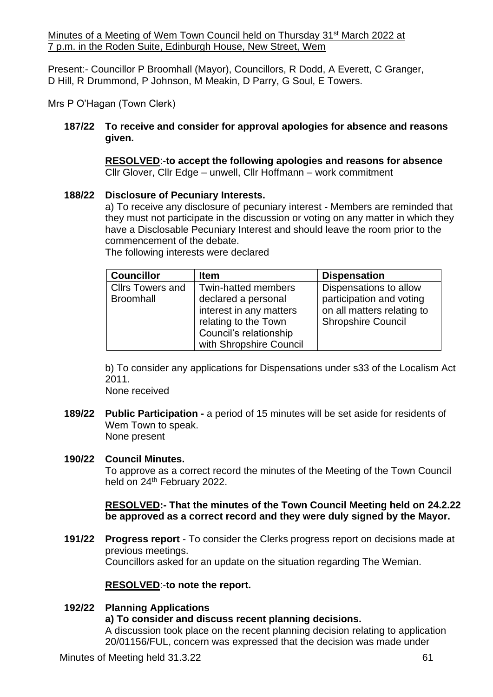Minutes of a Meeting of Wem Town Council held on Thursday 31<sup>st</sup> March 2022 at 7 p.m. in the Roden Suite, Edinburgh House, New Street, Wem

Present:- Councillor P Broomhall (Mayor), Councillors, R Dodd, A Everett, C Granger, D Hill, R Drummond, P Johnson, M Meakin, D Parry, G Soul, E Towers.

Mrs P O'Hagan (Town Clerk)

### **187/22 To receive and consider for approval apologies for absence and reasons given.**

**RESOLVED**:-**to accept the following apologies and reasons for absence** Cllr Glover, Cllr Edge – unwell, Cllr Hoffmann – work commitment

## **188/22 Disclosure of Pecuniary Interests.**

a) To receive any disclosure of pecuniary interest - Members are reminded that they must not participate in the discussion or voting on any matter in which they have a Disclosable Pecuniary Interest and should leave the room prior to the commencement of the debate.

**Councillor Item Dispensation** Cllrs Towers and **Broomhall** Twin-hatted members declared a personal interest in any matters relating to the Town Council's relationship with Shropshire Council Dispensations to allow participation and voting on all matters relating to Shropshire Council

The following interests were declared

b) To consider any applications for Dispensations under s33 of the Localism Act 2011.

None received

**189/22 Public Participation -** a period of 15 minutes will be set aside for residents of Wem Town to speak. None present

### **190/22 Council Minutes.**

To approve as a correct record the minutes of the Meeting of the Town Council held on 24<sup>th</sup> February 2022.

### **RESOLVED:- That the minutes of the Town Council Meeting held on 24.2.22 be approved as a correct record and they were duly signed by the Mayor.**

**191/22 Progress report** - To consider the Clerks progress report on decisions made at previous meetings. Councillors asked for an update on the situation regarding The Wemian.

# **RESOLVED**:-**to note the report.**

# **192/22 Planning Applications a) To consider and discuss recent planning decisions.** A discussion took place on the recent planning decision relating to application

20/01156/FUL, concern was expressed that the decision was made under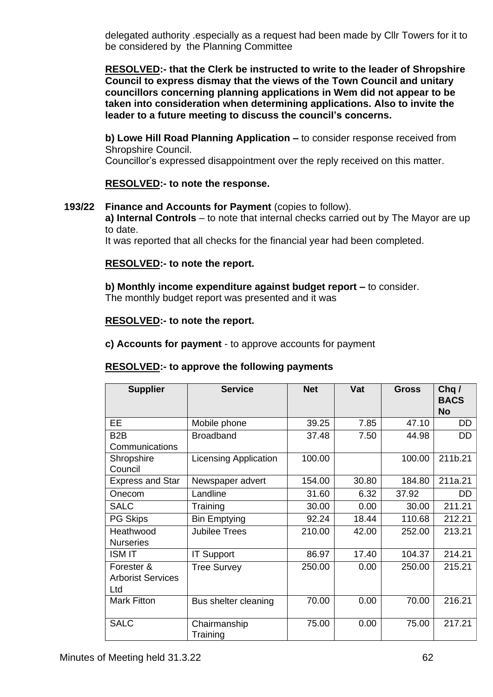delegated authority .especially as a request had been made by Cllr Towers for it to be considered by the Planning Committee

**RESOLVED:- that the Clerk be instructed to write to the leader of Shropshire Council to express dismay that the views of the Town Council and unitary councillors concerning planning applications in Wem did not appear to be taken into consideration when determining applications. Also to invite the leader to a future meeting to discuss the council's concerns.**

**b) Lowe Hill Road Planning Application –** to consider response received from Shropshire Council.

Councillor's expressed disappointment over the reply received on this matter.

## **RESOLVED:- to note the response.**

### **193/22 Finance and Accounts for Payment** (copies to follow).

**a) Internal Controls** – to note that internal checks carried out by The Mayor are up to date.

It was reported that all checks for the financial year had been completed.

### **RESOLVED:- to note the report.**

**b) Monthly income expenditure against budget report –** to consider. The monthly budget report was presented and it was

#### **RESOLVED:- to note the report.**

**c) Accounts for payment** - to approve accounts for payment

### **RESOLVED:- to approve the following payments**

| <b>Supplier</b>                               | <b>Service</b>               | <b>Net</b> | Vat   | Gross  | Chq/<br><b>BACS</b><br><b>No</b> |
|-----------------------------------------------|------------------------------|------------|-------|--------|----------------------------------|
| <b>EE</b>                                     | Mobile phone                 | 39.25      | 7.85  | 47.10  | <b>DD</b>                        |
| B <sub>2</sub> B<br>Communications            | <b>Broadband</b>             | 37.48      | 7.50  | 44.98  | DD                               |
| Shropshire<br>Council                         | <b>Licensing Application</b> | 100.00     |       | 100.00 | 211b.21                          |
| <b>Express and Star</b>                       | Newspaper advert             | 154.00     | 30.80 | 184.80 | 211a.21                          |
| Onecom                                        | Landline                     | 31.60      | 6.32  | 37.92  | DD                               |
| <b>SALC</b>                                   | Training                     | 30.00      | 0.00  | 30.00  | 211.21                           |
| <b>PG Skips</b>                               | <b>Bin Emptying</b>          | 92.24      | 18.44 | 110.68 | 212.21                           |
| Heathwood<br><b>Nurseries</b>                 | <b>Jubilee Trees</b>         | 210.00     | 42.00 | 252.00 | 213.21                           |
| <b>ISM IT</b>                                 | <b>IT Support</b>            | 86.97      | 17.40 | 104.37 | 214.21                           |
| Forester &<br><b>Arborist Services</b><br>Ltd | <b>Tree Survey</b>           | 250.00     | 0.00  | 250.00 | 215.21                           |
| <b>Mark Fitton</b>                            | Bus shelter cleaning         | 70.00      | 0.00  | 70.00  | 216.21                           |
| <b>SALC</b>                                   | Chairmanship<br>Training     | 75.00      | 0.00  | 75.00  | 217.21                           |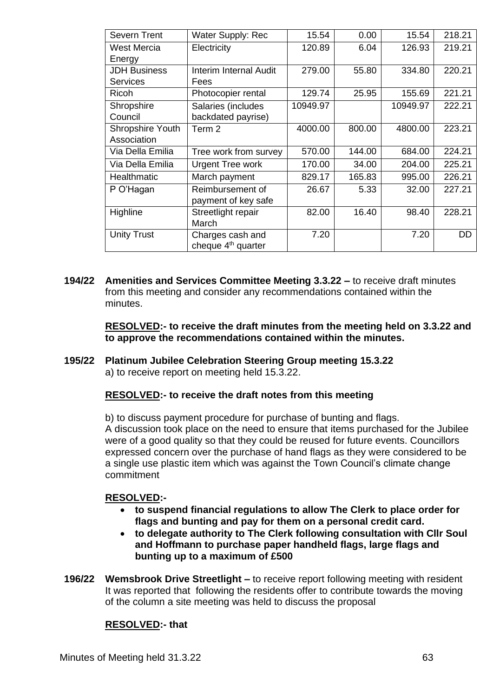| Severn Trent        | <b>Water Supply: Rec</b>       | 15.54    | 0.00   | 15.54    | 218.21 |
|---------------------|--------------------------------|----------|--------|----------|--------|
| West Mercia         | Electricity                    | 120.89   | 6.04   | 126.93   | 219.21 |
| Energy              |                                |          |        |          |        |
| <b>JDH Business</b> | <b>Interim Internal Audit</b>  | 279.00   | 55.80  | 334.80   | 220.21 |
| <b>Services</b>     | Fees                           |          |        |          |        |
| Ricoh               | Photocopier rental             | 129.74   | 25.95  | 155.69   | 221.21 |
| Shropshire          | Salaries (includes             | 10949.97 |        | 10949.97 | 222.21 |
| Council             | backdated payrise)             |          |        |          |        |
| Shropshire Youth    | Term 2                         | 4000.00  | 800.00 | 4800.00  | 223.21 |
| Association         |                                |          |        |          |        |
| Via Della Emilia    | Tree work from survey          | 570.00   | 144.00 | 684.00   | 224.21 |
| Via Della Emilia    | <b>Urgent Tree work</b>        | 170.00   | 34.00  | 204.00   | 225.21 |
| Healthmatic         | March payment                  | 829.17   | 165.83 | 995.00   | 226.21 |
| P O'Hagan           | Reimbursement of               | 26.67    | 5.33   | 32.00    | 227.21 |
|                     | payment of key safe            |          |        |          |        |
| Highline            | Streetlight repair             | 82.00    | 16.40  | 98.40    | 228.21 |
|                     | March                          |          |        |          |        |
| <b>Unity Trust</b>  | Charges cash and               | 7.20     |        | 7.20     | DD     |
|                     | cheque 4 <sup>th</sup> quarter |          |        |          |        |

**194/22 Amenities and Services Committee Meeting 3.3.22 –** to receive draft minutes from this meeting and consider any recommendations contained within the minutes.

> **RESOLVED:- to receive the draft minutes from the meeting held on 3.3.22 and to approve the recommendations contained within the minutes.**

**195/22 Platinum Jubilee Celebration Steering Group meeting 15.3.22** a) to receive report on meeting held 15.3.22.

# **RESOLVED:- to receive the draft notes from this meeting**

b) to discuss payment procedure for purchase of bunting and flags. A discussion took place on the need to ensure that items purchased for the Jubilee were of a good quality so that they could be reused for future events. Councillors expressed concern over the purchase of hand flags as they were considered to be a single use plastic item which was against the Town Council's climate change commitment

# **RESOLVED:-**

- **to suspend financial regulations to allow The Clerk to place order for flags and bunting and pay for them on a personal credit card.**
- **to delegate authority to The Clerk following consultation with Cllr Soul and Hoffmann to purchase paper handheld flags, large flags and bunting up to a maximum of £500**
- **196/22 Wemsbrook Drive Streetlight –** to receive report following meeting with resident It was reported that following the residents offer to contribute towards the moving of the column a site meeting was held to discuss the proposal

# **RESOLVED:- that**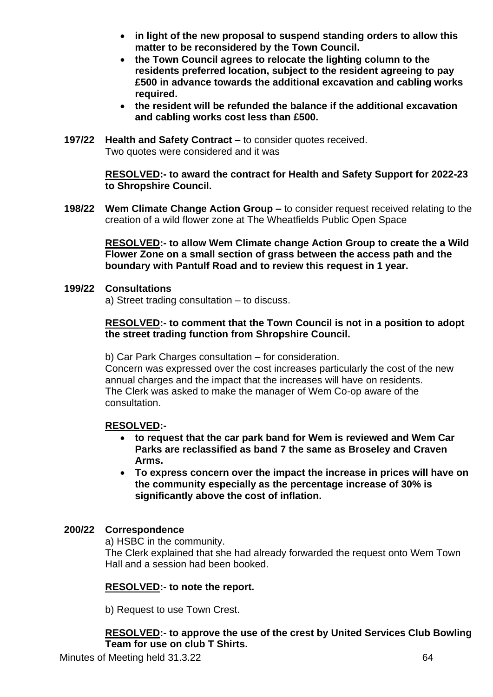- **in light of the new proposal to suspend standing orders to allow this matter to be reconsidered by the Town Council.**
- **the Town Council agrees to relocate the lighting column to the residents preferred location, subject to the resident agreeing to pay £500 in advance towards the additional excavation and cabling works required.**
- **the resident will be refunded the balance if the additional excavation and cabling works cost less than £500.**
- **197/22 Health and Safety Contract –** to consider quotes received. Two quotes were considered and it was

**RESOLVED:- to award the contract for Health and Safety Support for 2022-23 to Shropshire Council.**

**198/22 Wem Climate Change Action Group –** to consider request received relating to the creation of a wild flower zone at The Wheatfields Public Open Space

**RESOLVED:- to allow Wem Climate change Action Group to create the a Wild Flower Zone on a small section of grass between the access path and the boundary with Pantulf Road and to review this request in 1 year.**

### **199/22 Consultations**

a) Street trading consultation – to discuss.

### **RESOLVED:- to comment that the Town Council is not in a position to adopt the street trading function from Shropshire Council.**

b) Car Park Charges consultation – for consideration.

Concern was expressed over the cost increases particularly the cost of the new annual charges and the impact that the increases will have on residents. The Clerk was asked to make the manager of Wem Co-op aware of the consultation.

### **RESOLVED:-**

- **to request that the car park band for Wem is reviewed and Wem Car Parks are reclassified as band 7 the same as Broseley and Craven Arms.**
- **To express concern over the impact the increase in prices will have on the community especially as the percentage increase of 30% is significantly above the cost of inflation.**

### **200/22 Correspondence**

a) HSBC in the community.

The Clerk explained that she had already forwarded the request onto Wem Town Hall and a session had been booked.

### **RESOLVED:- to note the report.**

b) Request to use Town Crest.

### **RESOLVED:- to approve the use of the crest by United Services Club Bowling Team for use on club T Shirts.**

Minutes of Meeting held 31.3.22 64